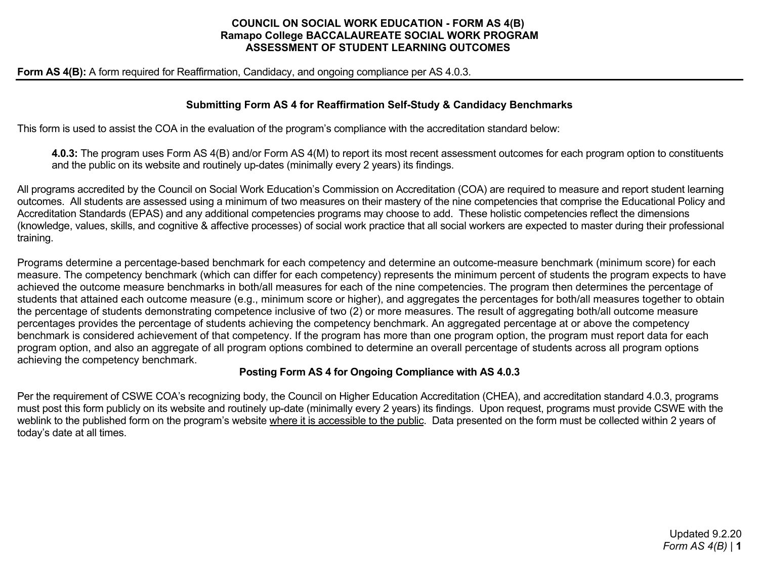### **COUNCIL ON SOCIAL WORK EDUCATION - FORM AS 4(B) Ramapo College BACCALAUREATE SOCIAL WORK PROGRAM ASSESSMENT OF STUDENT LEARNING OUTCOMES**

**Form AS 4(B):** A form required for Reaffirmation, Candidacy, and ongoing compliance per AS 4.0.3.

### **Submitting Form AS 4 for Reaffirmation Self-Study & Candidacy Benchmarks**

This form is used to assist the COA in the evaluation of the program's compliance with the accreditation standard below:

**4.0.3:** The program uses Form AS 4(B) and/or Form AS 4(M) to report its most recent assessment outcomes for each program option to constituents and the public on its website and routinely up-dates (minimally every 2 years) its findings.

All programs accredited by the Council on Social Work Education's Commission on Accreditation (COA) are required to measure and report student learning outcomes. All students are assessed using a minimum of two measures on their mastery of the nine competencies that comprise the Educational Policy and Accreditation Standards (EPAS) and any additional competencies programs may choose to add. These holistic competencies reflect the dimensions (knowledge, values, skills, and cognitive & affective processes) of social work practice that all social workers are expected to master during their professional training.

Programs determine a percentage-based benchmark for each competency and determine an outcome-measure benchmark (minimum score) for each measure. The competency benchmark (which can differ for each competency) represents the minimum percent of students the program expects to have achieved the outcome measure benchmarks in both/all measures for each of the nine competencies. The program then determines the percentage of students that attained each outcome measure (e.g., minimum score or higher), and aggregates the percentages for both/all measures together to obtain the percentage of students demonstrating competence inclusive of two (2) or more measures. The result of aggregating both/all outcome measure percentages provides the percentage of students achieving the competency benchmark. An aggregated percentage at or above the competency benchmark is considered achievement of that competency. If the program has more than one program option, the program must report data for each program option, and also an aggregate of all program options combined to determine an overall percentage of students across all program options achieving the competency benchmark.

### **Posting Form AS 4 for Ongoing Compliance with AS 4.0.3**

Per the requirement of CSWE COA's recognizing body, the Council on Higher Education Accreditation (CHEA), and accreditation standard 4.0.3, programs must post this form publicly on its website and routinely up-date (minimally every 2 years) its findings. Upon request, programs must provide CSWE with the weblink to the published form on the program's website where it is accessible to the public. Data presented on the form must be collected within 2 years of today's date at all times.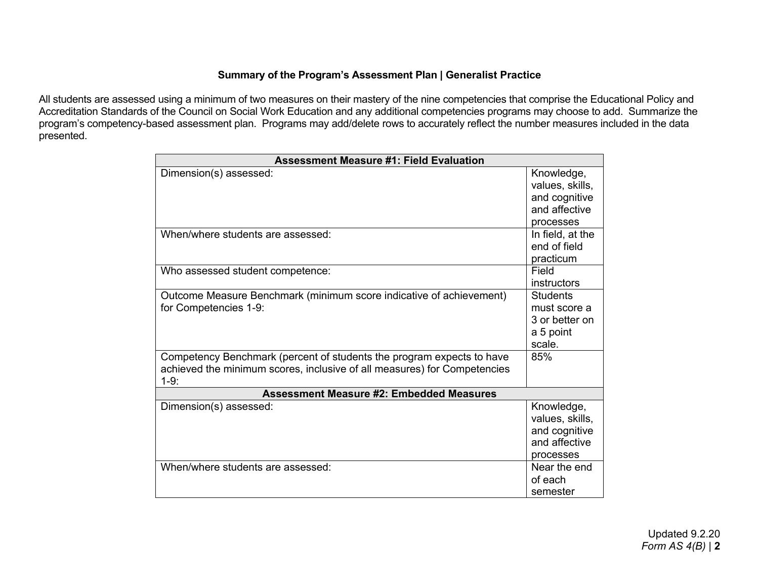# **Summary of the Program's Assessment Plan | Generalist Practice**

All students are assessed using a minimum of two measures on their mastery of the nine competencies that comprise the Educational Policy and Accreditation Standards of the Council on Social Work Education and any additional competencies programs may choose to add. Summarize the program's competency-based assessment plan. Programs may add/delete rows to accurately reflect the number measures included in the data presented.

| <b>Assessment Measure #1: Field Evaluation</b>                                                                                                              |                                                                              |  |
|-------------------------------------------------------------------------------------------------------------------------------------------------------------|------------------------------------------------------------------------------|--|
| Dimension(s) assessed:                                                                                                                                      | Knowledge,<br>values, skills,<br>and cognitive<br>and affective<br>processes |  |
| When/where students are assessed:                                                                                                                           | In field, at the<br>end of field<br>practicum                                |  |
| Who assessed student competence:                                                                                                                            | Field<br>instructors                                                         |  |
| Outcome Measure Benchmark (minimum score indicative of achievement)<br>for Competencies 1-9:                                                                | <b>Students</b><br>must score a<br>3 or better on<br>a 5 point<br>scale.     |  |
| Competency Benchmark (percent of students the program expects to have<br>achieved the minimum scores, inclusive of all measures) for Competencies<br>$1-9:$ | 85%                                                                          |  |
| <b>Assessment Measure #2: Embedded Measures</b>                                                                                                             |                                                                              |  |
| Dimension(s) assessed:                                                                                                                                      | Knowledge,<br>values, skills,<br>and cognitive<br>and affective<br>processes |  |
| When/where students are assessed:                                                                                                                           | Near the end<br>of each<br>semester                                          |  |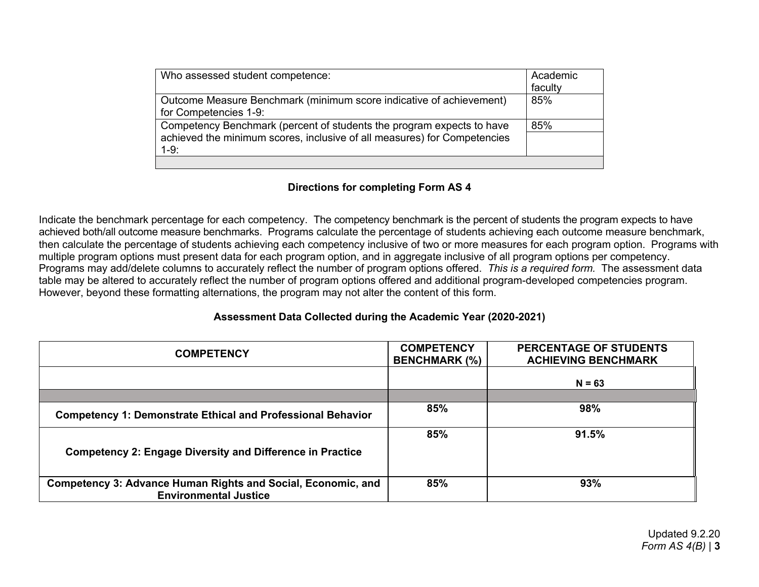| Who assessed student competence:                                                                                                                            | Academic<br>faculty |
|-------------------------------------------------------------------------------------------------------------------------------------------------------------|---------------------|
| Outcome Measure Benchmark (minimum score indicative of achievement)<br>for Competencies 1-9:                                                                | 85%                 |
| Competency Benchmark (percent of students the program expects to have<br>achieved the minimum scores, inclusive of all measures) for Competencies<br>$1-9:$ | 85%                 |
|                                                                                                                                                             |                     |

### **Directions for completing Form AS 4**

Indicate the benchmark percentage for each competency. The competency benchmark is the percent of students the program expects to have achieved both/all outcome measure benchmarks. Programs calculate the percentage of students achieving each outcome measure benchmark, then calculate the percentage of students achieving each competency inclusive of two or more measures for each program option. Programs with multiple program options must present data for each program option, and in aggregate inclusive of all program options per competency. Programs may add/delete columns to accurately reflect the number of program options offered. *This is a required form.* The assessment data table may be altered to accurately reflect the number of program options offered and additional program-developed competencies program. However, beyond these formatting alternations, the program may not alter the content of this form.

## **Assessment Data Collected during the Academic Year (2020-2021)**

| <b>COMPETENCY</b>                                                   | <b>COMPETENCY</b><br><b>BENCHMARK (%)</b> | <b>PERCENTAGE OF STUDENTS</b><br><b>ACHIEVING BENCHMARK</b> |
|---------------------------------------------------------------------|-------------------------------------------|-------------------------------------------------------------|
|                                                                     |                                           | $N = 63$                                                    |
|                                                                     |                                           |                                                             |
| <b>Competency 1: Demonstrate Ethical and Professional Behavior</b>  | 85%                                       | 98%                                                         |
| <b>Competency 2: Engage Diversity and Difference in Practice</b>    | 85%                                       | 91.5%                                                       |
| <b>Competency 3: Advance Human Rights and Social, Economic, and</b> | 85%                                       | 93%                                                         |
| <b>Environmental Justice</b>                                        |                                           |                                                             |